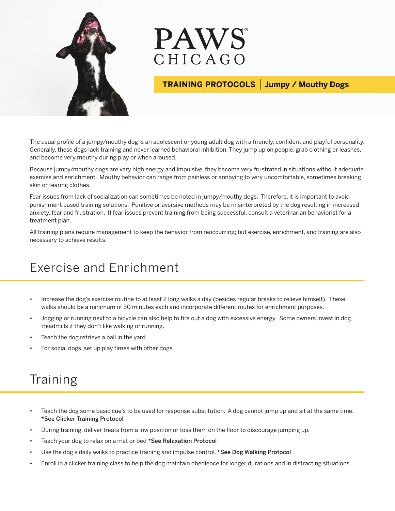

## PAWS CHICAGO

## **TRAINING PROTOCOLS Jumpy / Mouthy Dogs**

The usual profile of a jumpy/mouthy dog is an adolescent or young adult dog with a friendly, confident and playful personality. Generally, these dogs lack training and never learned behavioral inhibition. They jump up on people, grab clothing or leashes, and become very mouthy during play or when aroused.

Because jumpy/mouthy dogs are very high energy and impulsive, they become very frustrated in situations without adequate exercise and enrichment. Mouthy behavior can range from painless or annoying to very uncomfortable, sometimes breaking skin or tearing clothes.

Fear issues from lack of socialization can sometimes be noted in jumpy/mouthy dogs. Therefore, it is important to avoid punishment based training solutions. Punitive or aversive methods may be misinterpreted by the dog resulting in increased anxiety, fear and frustration. If fear issues prevent training from being successful, consult a veterinarian behaviorist for a treatment plan.

All training plans require management to keep the behavior from reoccurring; but exercise, enrichment, and training are also necessary to achieve results.

## Exercise and Enrichment

- Increase the dog's exercise routine to at least 2 long walks a day (besides regular breaks to relieve himself). These walks should be a minimum of 30 minutes each and incorporate different routes for enrichment purposes.
- Jogging or running next to a bicycle can also help to tire out a dog with excessive energy. Some owners invest in dog treadmills if they don't like walking or running.
- Teach the dog retrieve a ball in the yard.
- For social dogs, set up play times with other dogs.

## **Training**

- Teach the dog some basic cue's to be used for response substitution. A dog cannot jump up and sit at the same time. \*See Clicker Training Protocol
- During training, deliver treats from a low position or toss them on the floor to discourage jumping up.
- Teach your dog to relax on a mat or bed \*See Relaxation Protocol
- Use the dog's daily walks to practice training and impulse control. \*See Dog Walking Protocol
- Enroll in a clicker training class to help the dog maintain obedience for longer durations and in distracting situations.